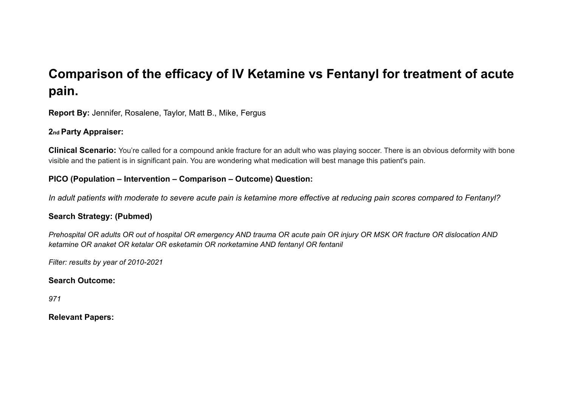# **Comparison of the efficacy of IV Ketamine vs Fentanyl for treatment of acute pain.**

**Report By:** Jennifer, Rosalene, Taylor, Matt B., Mike, Fergus

#### **2nd Party Appraiser:**

**Clinical Scenario:** You're called for a compound ankle fracture for an adult who was playing soccer. There is an obvious deformity with bone visible and the patient is in significant pain. You are wondering what medication will best manage this patient's pain.

#### **PICO (Population – Intervention – Comparison – Outcome) Question:**

*In adult patients with moderate to severe acute pain is ketamine more effective at reducing pain scores compared to Fentanyl?*

#### **Search Strategy: (Pubmed)**

Prehospital OR adults OR out of hospital OR emergency AND trauma OR acute pain OR injury OR MSK OR fracture OR dislocation AND *ketamine OR anaket OR ketalar OR esketamin OR norketamine AND fentanyl OR fentanil*

*Filter: results by year of 2010-2021*

#### **Search Outcome:**

*971*

#### **Relevant Papers:**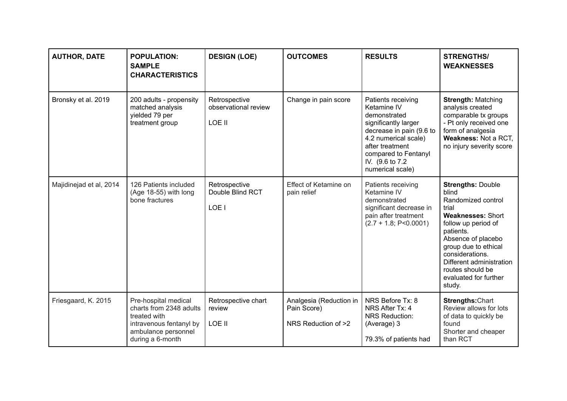| <b>AUTHOR, DATE</b>     | <b>POPULATION:</b><br><b>SAMPLE</b><br><b>CHARACTERISTICS</b>                                                                         | <b>DESIGN (LOE)</b>                             | <b>OUTCOMES</b>                                               | <b>RESULTS</b>                                                                                                                                                                                                   | <b>STRENGTHS/</b><br><b>WEAKNESSES</b>                                                                                                                                                                                                                                               |
|-------------------------|---------------------------------------------------------------------------------------------------------------------------------------|-------------------------------------------------|---------------------------------------------------------------|------------------------------------------------------------------------------------------------------------------------------------------------------------------------------------------------------------------|--------------------------------------------------------------------------------------------------------------------------------------------------------------------------------------------------------------------------------------------------------------------------------------|
| Bronsky et al. 2019     | 200 adults - propensity<br>matched analysis<br>yielded 79 per<br>treatment group                                                      | Retrospective<br>observational review<br>LOE II | Change in pain score                                          | Patients receiving<br>Ketamine IV<br>demonstrated<br>significantly larger<br>decrease in pain (9.6 to<br>4.2 numerical scale)<br>after treatment<br>compared to Fentanyl<br>IV. (9.6 to 7.2)<br>numerical scale) | <b>Strength: Matching</b><br>analysis created<br>comparable tx groups<br>- Pt only received one<br>form of analgesia<br>Weakness: Not a RCT,<br>no injury severity score                                                                                                             |
| Majidinejad et al, 2014 | 126 Patients included<br>(Age 18-55) with long<br>bone fractures                                                                      | Retrospective<br>Double Blind RCT<br>LOE I      | Effect of Ketamine on<br>pain relief                          | Patients receiving<br>Ketamine IV<br>demonstrated<br>significant decrease in<br>pain after treatment<br>$(2.7 + 1.8; P < 0.0001)$                                                                                | <b>Strengths: Double</b><br>blind<br>Randomized control<br>trial<br><b>Weaknesses: Short</b><br>follow up period of<br>patients.<br>Absence of placebo<br>group due to ethical<br>considerations.<br>Different administration<br>routes should be<br>evaluated for further<br>study. |
| Friesgaard, K. 2015     | Pre-hospital medical<br>charts from 2348 adults<br>treated with<br>intravenous fentanyl by<br>ambulance personnel<br>during a 6-month | Retrospective chart<br>review<br>LOE II         | Analgesia (Reduction in<br>Pain Score)<br>NRS Reduction of >2 | NRS Before Tx: 8<br>NRS After Tx: 4<br><b>NRS Reduction:</b><br>(Average) 3<br>79.3% of patients had                                                                                                             | <b>Strengths: Chart</b><br>Review allows for lots<br>of data to quickly be<br>found<br>Shorter and cheaper<br>than RCT                                                                                                                                                               |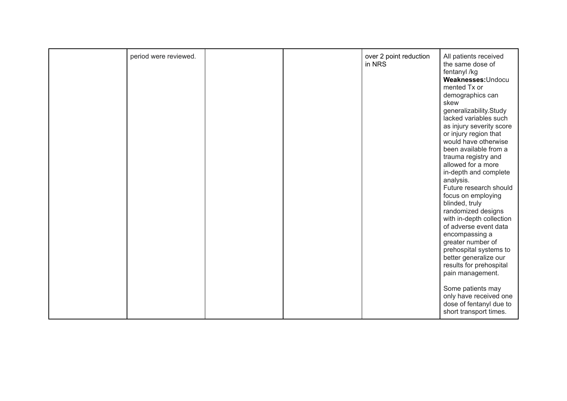| period were reviewed.<br>over 2 point reduction<br>All patients received<br>in NRS<br>the same dose of<br>fentanyl /kg<br>Weaknesses: Undocu<br>mented Tx or<br>demographics can<br>skew<br>generalizability.Study<br>lacked variables such<br>as injury severity score<br>or injury region that<br>would have otherwise<br>been available from a<br>trauma registry and<br>allowed for a more<br>in-depth and complete<br>analysis.<br>Future research should<br>focus on employing<br>blinded, truly<br>randomized designs<br>with in-depth collection<br>of adverse event data<br>encompassing a<br>greater number of<br>prehospital systems to<br>better generalize our<br>results for prehospital<br>pain management.<br>Some patients may<br>only have received one<br>dose of fentanyl due to<br>short transport times. |  |  |  |
|--------------------------------------------------------------------------------------------------------------------------------------------------------------------------------------------------------------------------------------------------------------------------------------------------------------------------------------------------------------------------------------------------------------------------------------------------------------------------------------------------------------------------------------------------------------------------------------------------------------------------------------------------------------------------------------------------------------------------------------------------------------------------------------------------------------------------------|--|--|--|
|                                                                                                                                                                                                                                                                                                                                                                                                                                                                                                                                                                                                                                                                                                                                                                                                                                |  |  |  |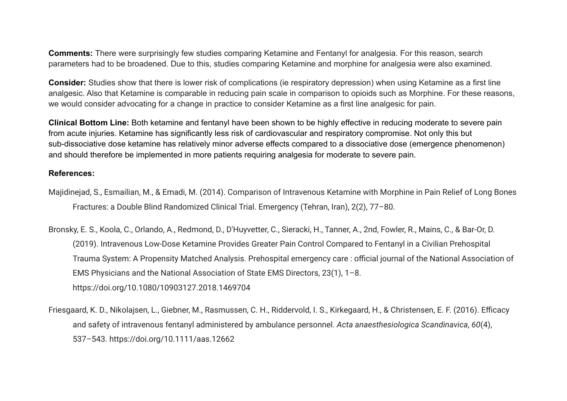**Comments:** There were surprisingly few studies comparing Ketamine and Fentanyl for analgesia. For this reason, search parameters had to be broadened. Due to this, studies comparing Ketamine and morphine for analgesia were also examined.

**Consider:** Studies show that there is lower risk of complications (ie respiratory depression) when using Ketamine as a first line analgesic. Also that Ketamine is comparable in reducing pain scale in comparison to opioids such as Morphine. For these reasons, we would consider advocating for a change in practice to consider Ketamine as a first line analgesic for pain.

**Clinical Bottom Line:** Both ketamine and fentanyl have been shown to be highly effective in reducing moderate to severe pain from acute injuries. Ketamine has significantly less risk of cardiovascular and respiratory compromise. Not only this but sub-dissociative dose ketamine has relatively minor adverse effects compared to a dissociative dose (emergence phenomenon) and should therefore be implemented in more patients requiring analgesia for moderate to severe pain.

#### **References:**

- Majidinejad, S., Esmailian, M., & Emadi, M. (2014). Comparison of Intravenous Ketamine with Morphine in Pain Relief of Long Bones Fractures: a Double Blind Randomized Clinical Trial. Emergency (Tehran, Iran), 2(2), 77–80.
- Bronsky, E. S., Koola, C., Orlando, A., Redmond, D., D'Huyvetter, C., Sieracki, H., Tanner, A., 2nd, Fowler, R., Mains, C., & Bar-Or, D. (2019). Intravenous Low-Dose Ketamine Provides Greater Pain Control Compared to Fentanyl in a Civilian Prehospital Trauma System: A Propensity Matched Analysis. Prehospital emergency care : official journal of the National Association of EMS Physicians and the National Association of State EMS Directors, 23(1), 1–8. <https://doi.org/10.1080/10903127.2018.1469704>
- Friesgaard, K. D., Nikolajsen, L., Giebner, M., Rasmussen, C. H., Riddervold, I. S., Kirkegaard, H., & Christensen, E. F. (2016). Efficacy and safety of intravenous fentanyl administered by ambulance personnel. *Acta anaesthesiologica Scandinavica*, *60*(4), 537–543. https://doi.org/10.1111/aas.12662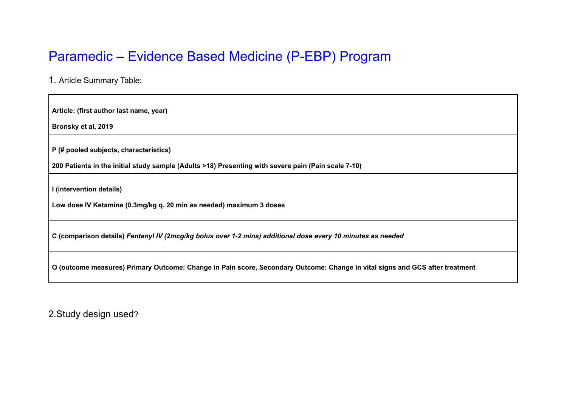# Paramedic – Evidence Based Medicine (P-EBP) Program

1. Article Summary Table:

**Article: (first author last name, year)**

**Bronsky et al, 2019**

**P (# pooled subjects, characteristics)**

**200 Patients in the initial study sample (Adults >18) Presenting with severe pain (Pain scale 7-10)**

**I (intervention details)**

**Low dose IV Ketamine (0.3mg/kg q. 20 min as needed) maximum 3 doses**

C (comparison details) Fentanyl IV (2mcg/kg bolus over 1-2 mins) additional dose every 10 minutes as needed

O (outcome measures) Primary Outcome: Change in Pain score, Secondary Outcome: Change in vital signs and GCS after treatment

2.Study design used?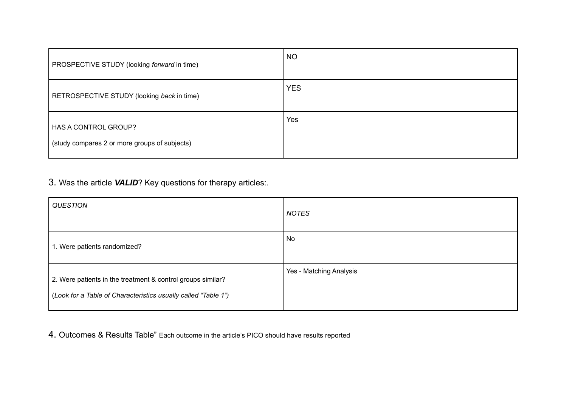| PROSPECTIVE STUDY (looking forward in time)                           | <b>NO</b>  |
|-----------------------------------------------------------------------|------------|
| RETROSPECTIVE STUDY (looking back in time)                            | <b>YES</b> |
| HAS A CONTROL GROUP?<br>(study compares 2 or more groups of subjects) | Yes        |

3. Was the article *VALID*? Key questions for therapy articles:.

| <b>QUESTION</b>                                                                                                               | <b>NOTES</b>            |
|-------------------------------------------------------------------------------------------------------------------------------|-------------------------|
| 1. Were patients randomized?                                                                                                  | No                      |
| 2. Were patients in the treatment & control groups similar?<br>(Look for a Table of Characteristics usually called "Table 1") | Yes - Matching Analysis |

4. Outcomes & Results Table" Each outcome in the article's PICO should have results reported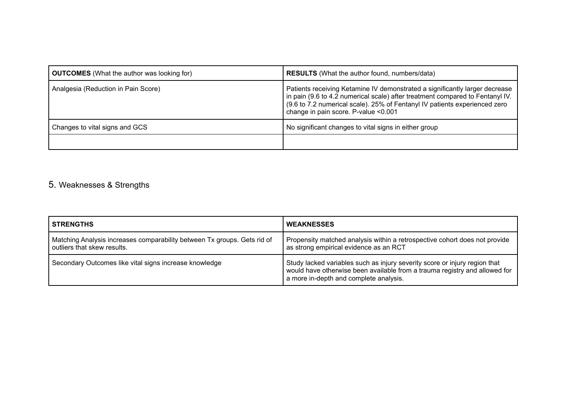| <b>OUTCOMES</b> (What the author was looking for) | <b>RESULTS</b> (What the author found, numbers/data)                                                                                                                                                                                                                               |
|---------------------------------------------------|------------------------------------------------------------------------------------------------------------------------------------------------------------------------------------------------------------------------------------------------------------------------------------|
| Analgesia (Reduction in Pain Score)               | Patients receiving Ketamine IV demonstrated a significantly larger decrease<br>in pain (9.6 to 4.2 numerical scale) after treatment compared to Fentanyl IV.<br>(9.6 to 7.2 numerical scale). 25% of Fentanyl IV patients experienced zero<br>change in pain score. P-value <0.001 |
| Changes to vital signs and GCS                    | No significant changes to vital signs in either group                                                                                                                                                                                                                              |
|                                                   |                                                                                                                                                                                                                                                                                    |

# 5. Weaknesses & Strengths

| <b>STRENGTHS</b>                                                                                        | <b>WEAKNESSES</b>                                                                                                                                                                                  |
|---------------------------------------------------------------------------------------------------------|----------------------------------------------------------------------------------------------------------------------------------------------------------------------------------------------------|
| Matching Analysis increases comparability between Tx groups. Gets rid of<br>outliers that skew results. | Propensity matched analysis within a retrospective cohort does not provide<br>as strong empirical evidence as an RCT                                                                               |
| Secondary Outcomes like vital signs increase knowledge                                                  | Study lacked variables such as injury severity score or injury region that<br>would have otherwise been available from a trauma registry and allowed for<br>a more in-depth and complete analysis. |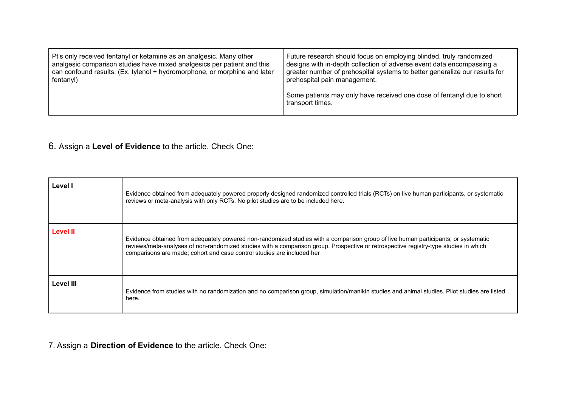| Pt's only received fentanyl or ketamine as an analgesic. Many other       | Future research should focus on employing blinded, truly randomized                        |
|---------------------------------------------------------------------------|--------------------------------------------------------------------------------------------|
| analgesic comparison studies have mixed analgesics per patient and this   | designs with in-depth collection of adverse event data encompassing a                      |
| can confound results. (Ex. tylenol + hydromorphone, or morphine and later | greater number of prehospital systems to better generalize our results for                 |
| fentanyl)                                                                 | prehospital pain management.                                                               |
|                                                                           | Some patients may only have received one dose of fentanyl due to short<br>transport times. |

#### 6. Assign a **Level of Evidence** to the article. Check One:

| Level I          | Evidence obtained from adequately powered properly designed randomized controlled trials (RCTs) on live human participants, or systematic<br>reviews or meta-analysis with only RCTs. No pilot studies are to be included here.                                                                                                                      |
|------------------|------------------------------------------------------------------------------------------------------------------------------------------------------------------------------------------------------------------------------------------------------------------------------------------------------------------------------------------------------|
| <b>Level II</b>  | Evidence obtained from adequately powered non-randomized studies with a comparison group of live human participants, or systematic<br>reviews/meta-analyses of non-randomized studies with a comparison group. Prospective or retrospective registry-type studies in which<br>comparisons are made; cohort and case control studies are included her |
| <b>Level III</b> | Evidence from studies with no randomization and no comparison group, simulation/manikin studies and animal studies. Pilot studies are listed<br>here.                                                                                                                                                                                                |

7. Assign a **Direction of Evidence** to the article. Check One: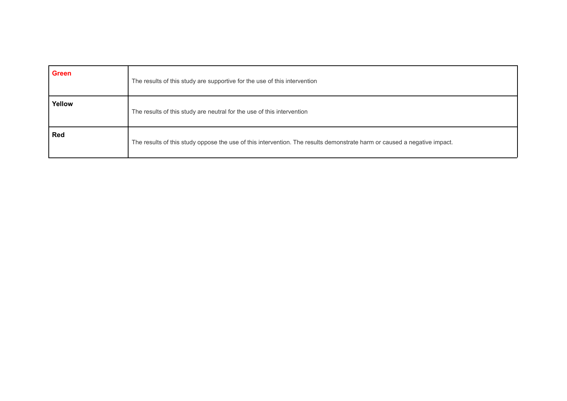| <b>Green</b> | The results of this study are supportive for the use of this intervention                                                |
|--------------|--------------------------------------------------------------------------------------------------------------------------|
| Yellow       | The results of this study are neutral for the use of this intervention                                                   |
| <b>Red</b>   | The results of this study oppose the use of this intervention. The results demonstrate harm or caused a negative impact. |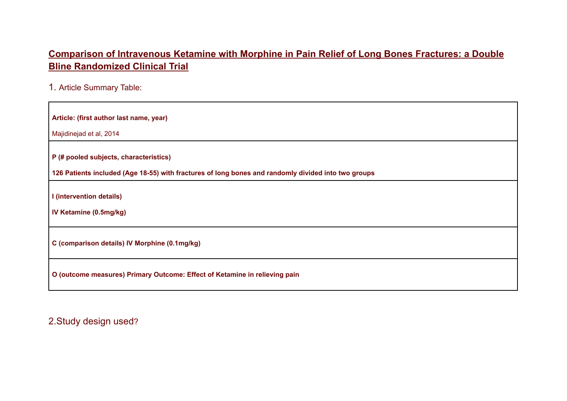# **Comparison of Intravenous Ketamine with Morphine in Pain Relief of Long Bones Fractures: a Double Bline Randomized Clinical Trial**

1. Article Summary Table:

| Article: (first author last name, year)                                                             |  |  |
|-----------------------------------------------------------------------------------------------------|--|--|
| Majidinejad et al, 2014                                                                             |  |  |
| P (# pooled subjects, characteristics)                                                              |  |  |
| 126 Patients included (Age 18-55) with fractures of long bones and randomly divided into two groups |  |  |
| I (intervention details)                                                                            |  |  |
| IV Ketamine (0.5mg/kg)                                                                              |  |  |
| C (comparison details) IV Morphine (0.1mg/kg)                                                       |  |  |
| O (outcome measures) Primary Outcome: Effect of Ketamine in relieving pain                          |  |  |

2.Study design used?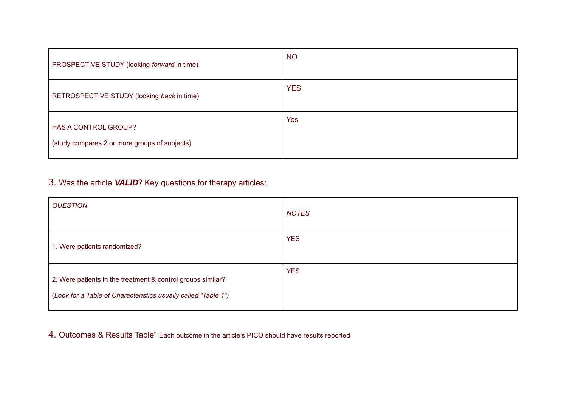| PROSPECTIVE STUDY (looking forward in time)                                  | <b>NO</b>  |
|------------------------------------------------------------------------------|------------|
| RETROSPECTIVE STUDY (looking back in time)                                   | <b>YES</b> |
| <b>HAS A CONTROL GROUP?</b><br>(study compares 2 or more groups of subjects) | <b>Yes</b> |

# 3. Was the article *VALID*? Key questions for therapy articles:.

| <b>QUESTION</b>                                                                                                               | <b>NOTES</b> |
|-------------------------------------------------------------------------------------------------------------------------------|--------------|
| 1. Were patients randomized?                                                                                                  | <b>YES</b>   |
| 2. Were patients in the treatment & control groups similar?<br>(Look for a Table of Characteristics usually called "Table 1") | <b>YES</b>   |

#### 4. Outcomes & Results Table" Each outcome in the article's PICO should have results reported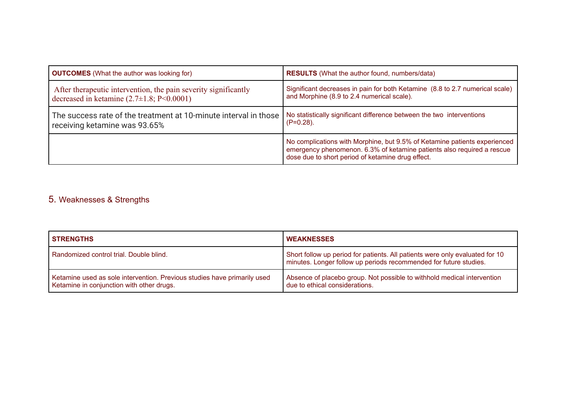| <b>OUTCOMES</b> (What the author was looking for)                | <b>RESULTS</b> (What the author found, numbers/data)                                                                                                                                                     |  |
|------------------------------------------------------------------|----------------------------------------------------------------------------------------------------------------------------------------------------------------------------------------------------------|--|
| After the rapeutic intervention, the pain severity significantly | Significant decreases in pain for both Ketamine (8.8 to 2.7 numerical scale)                                                                                                                             |  |
| decreased in ketamine $(2.7\pm1.8; P<0.0001)$                    | and Morphine (8.9 to 2.4 numerical scale).                                                                                                                                                               |  |
| The success rate of the treatment at 10-minute interval in those | No statistically significant difference between the two interventions                                                                                                                                    |  |
| receiving ketamine was 93.65%                                    | $(P=0.28)$ .                                                                                                                                                                                             |  |
|                                                                  | No complications with Morphine, but 9.5% of Ketamine patients experienced<br>emergency phenomenon. 6.3% of ketamine patients also required a rescue<br>dose due to short period of ketamine drug effect. |  |

# 5. Weaknesses & Strengths

| <b>STRENGTHS</b>                                                                                                      | <b>WEAKNESSES</b>                                                                                                                                 |
|-----------------------------------------------------------------------------------------------------------------------|---------------------------------------------------------------------------------------------------------------------------------------------------|
| Randomized control trial. Double blind.                                                                               | Short follow up period for patients. All patients were only evaluated for 10<br>minutes. Longer follow up periods recommended for future studies. |
| Ketamine used as sole intervention. Previous studies have primarily used<br>Ketamine in conjunction with other drugs. | Absence of placebo group. Not possible to withhold medical intervention<br>due to ethical considerations.                                         |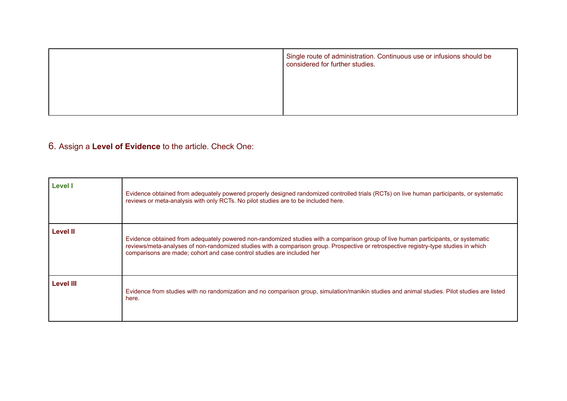| Single route of administration. Continuous use or infusions should be<br>considered for further studies. |
|----------------------------------------------------------------------------------------------------------|
|                                                                                                          |
|                                                                                                          |

# 6. Assign a **Level of Evidence** to the article. Check One:

| <b>Level I</b>   | Evidence obtained from adequately powered properly designed randomized controlled trials (RCTs) on live human participants, or systematic<br>reviews or meta-analysis with only RCTs. No pilot studies are to be included here.                                                                                                                      |
|------------------|------------------------------------------------------------------------------------------------------------------------------------------------------------------------------------------------------------------------------------------------------------------------------------------------------------------------------------------------------|
| <b>Level II</b>  | Evidence obtained from adequately powered non-randomized studies with a comparison group of live human participants, or systematic<br>reviews/meta-analyses of non-randomized studies with a comparison group. Prospective or retrospective registry-type studies in which<br>comparisons are made; cohort and case control studies are included her |
| <b>Level III</b> | Evidence from studies with no randomization and no comparison group, simulation/manikin studies and animal studies. Pilot studies are listed<br>here.                                                                                                                                                                                                |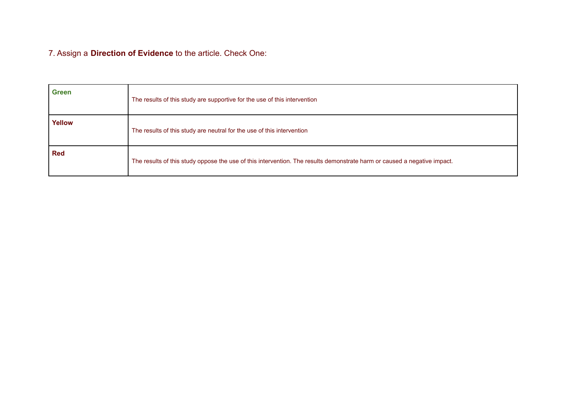7. Assign a **Direction of Evidence** to the article. Check One:

| <b>Green</b> | The results of this study are supportive for the use of this intervention                                                |
|--------------|--------------------------------------------------------------------------------------------------------------------------|
| Yellow       | The results of this study are neutral for the use of this intervention                                                   |
| <b>Red</b>   | The results of this study oppose the use of this intervention. The results demonstrate harm or caused a negative impact. |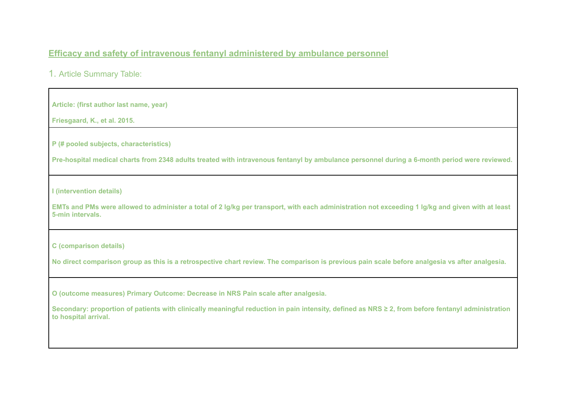#### **Efficacy and safety of intravenous fentanyl administered by ambulance personnel**

1. Article Summary Table:

**Article: (first author last name, year)**

**Friesgaard, K., et al. 2015.**

**P (# pooled subjects, characteristics)**

Pre-hospital medical charts from 2348 adults treated with intravenous fentanyl by ambulance personnel during a 6-month period were reviewed.

**I (intervention details)**

EMTs and PMs were allowed to administer a total of 2 lg/kg per transport, with each administration not exceeding 1 lg/kg and given with at least **5-min intervals.**

**C (comparison details)**

No direct comparison group as this is a retrospective chart review. The comparison is previous pain scale before analgesia vs after analgesia.

**O (outcome measures) Primary Outcome: Decrease in NRS Pain scale after analgesia.**

Secondary: proportion of patients with clinically meaningful reduction in pain intensity, defined as NRS ≥ 2, from before fentanyl administration **to hospital arrival.**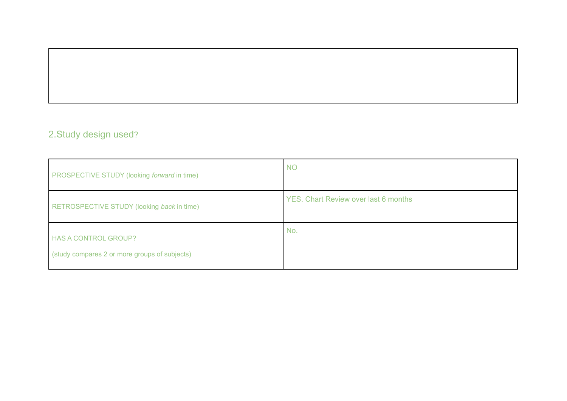# 2.Study design used?

| PROSPECTIVE STUDY (looking forward in time)                                  | <b>NO</b>                                   |
|------------------------------------------------------------------------------|---------------------------------------------|
| RETROSPECTIVE STUDY (looking back in time)                                   | <b>YES. Chart Review over last 6 months</b> |
| <b>HAS A CONTROL GROUP?</b><br>(study compares 2 or more groups of subjects) | No.                                         |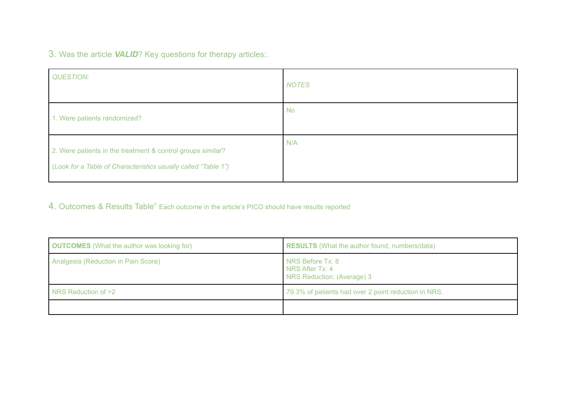3. Was the article *VALID*? Key questions for therapy articles:.

| <b>QUESTION:</b>                                                                                                              | <b>NOTES</b> |
|-------------------------------------------------------------------------------------------------------------------------------|--------------|
| 1. Were patients randomized?                                                                                                  | <b>No</b>    |
| 2. Were patients in the treatment & control groups similar?<br>(Look for a Table of Characteristics usually called "Table 1") | N/A          |

4. Outcomes & Results Table" Each outcome in the article's PICO should have results reported

| <b>OUTCOMES</b> (What the author was looking for) | <b>RESULTS</b> (What the author found, numbers/data)              |
|---------------------------------------------------|-------------------------------------------------------------------|
| Analgesia (Reduction in Pain Score)               | NRS Before Tx: 8<br>NRS After Tx: 4<br>NRS Reduction: (Average) 3 |
| NRS Reduction of >2                               | 79.3% of patients had over 2 point reduction in NRS.              |
|                                                   |                                                                   |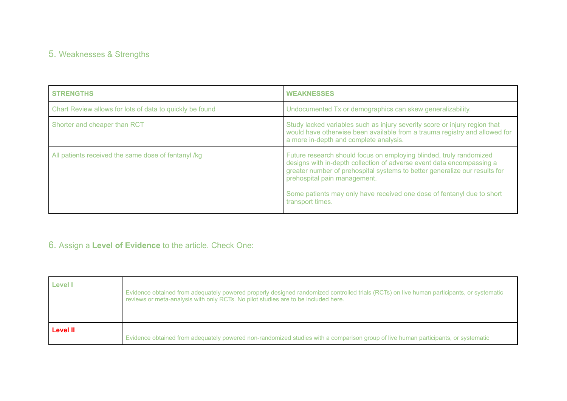# 5. Weaknesses & Strengths

| <b>STRENGTHS</b>                                         | <b>WEAKNESSES</b>                                                                                                                                                                                                                                                                                                                                        |
|----------------------------------------------------------|----------------------------------------------------------------------------------------------------------------------------------------------------------------------------------------------------------------------------------------------------------------------------------------------------------------------------------------------------------|
| Chart Review allows for lots of data to quickly be found | Undocumented Tx or demographics can skew generalizability.                                                                                                                                                                                                                                                                                               |
| Shorter and cheaper than RCT                             | Study lacked variables such as injury severity score or injury region that<br>would have otherwise been available from a trauma registry and allowed for<br>a more in-depth and complete analysis.                                                                                                                                                       |
| All patients received the same dose of fentanyl /kg      | Future research should focus on employing blinded, truly randomized<br>designs with in-depth collection of adverse event data encompassing a<br>greater number of prehospital systems to better generalize our results for<br>prehospital pain management.<br>Some patients may only have received one dose of fentanyl due to short<br>transport times. |

# 6. Assign a **Level of Evidence** to the article. Check One:

| <b>Level I</b>  | Evidence obtained from adequately powered properly designed randomized controlled trials (RCTs) on live human participants, or systematic<br>reviews or meta-analysis with only RCTs. No pilot studies are to be included here. |
|-----------------|---------------------------------------------------------------------------------------------------------------------------------------------------------------------------------------------------------------------------------|
| <b>Level II</b> | Evidence obtained from adequately powered non-randomized studies with a comparison group of live human participants, or systematic                                                                                              |